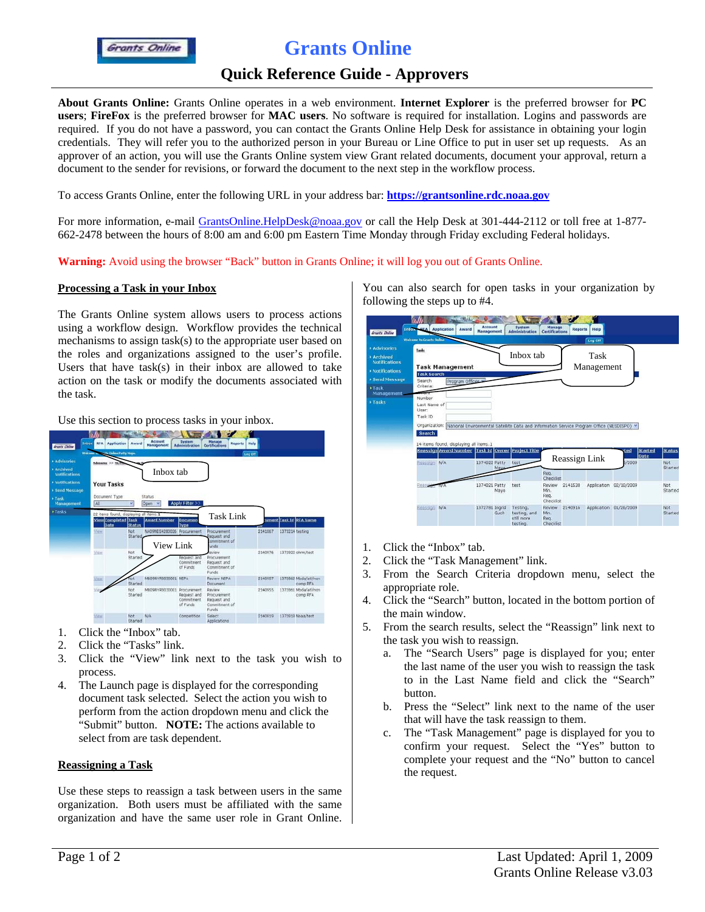# **Grants Online**

## **Quick Reference Guide - Approvers**

**About Grants Online:** Grants Online operates in a web environment. **Internet Explorer** is the preferred browser for **PC users**; **FireFox** is the preferred browser for **MAC users**. No software is required for installation. Logins and passwords are required. If you do not have a password, you can contact the Grants Online Help Desk for assistance in obtaining your login credentials. They will refer you to the authorized person in your Bureau or Line Office to put in user set up requests. As an approver of an action, you will use the Grants Online system view Grant related documents, document your approval, return a document to the sender for revisions, or forward the document to the next step in the workflow process.

To access Grants Online, enter the following URL in your address bar: **https://grantsonline.rdc.noaa.gov**

For more information, e-mail GrantsOnline.HelpDesk@noaa.gov or call the Help Desk at 301-444-2112 or toll free at 1-877- 662-2478 between the hours of 8:00 am and 6:00 pm Eastern Time Monday through Friday excluding Federal holidays.

**Warning:** Avoid using the browser "Back" button in Grants Online; it will log you out of Grants Online.

### **Processing a Task in your Inbox**

The Grants Online system allows users to process actions using a workflow design. Workflow provides the technical mechanisms to assign task(s) to the appropriate user based on the roles and organizations assigned to the user's profile. Users that have task(s) in their inbox are allowed to take action on the task or modify the documents associated with the task.

| Use this section to process tasks in your inbox. |                                                                                                                                                                                                                                |  |  |
|--------------------------------------------------|--------------------------------------------------------------------------------------------------------------------------------------------------------------------------------------------------------------------------------|--|--|
|                                                  | and the company of the product of the company of the company of the company of the company of the company of the company of the company of the company of the company of the company of the company of the company of the comp |  |  |

|                                                                                                                 | W                                                                                 |                | Account                                 | System                                       | Manage                                                         |                            |         |                         |                                  |
|-----------------------------------------------------------------------------------------------------------------|-----------------------------------------------------------------------------------|----------------|-----------------------------------------|----------------------------------------------|----------------------------------------------------------------|----------------------------|---------|-------------------------|----------------------------------|
| Inbox<br><b>Grants</b> Chine                                                                                    | <b>RFA</b><br><b>Application</b><br>Web and W<br><b>County Orders Patty Naps.</b> | Award          | <b>Management</b>                       | <b>Administration</b>                        | Certifications                                                 | Help<br>Reports<br>Leg Off |         |                         |                                  |
| * Advisories<br>* Archived<br><b>Notifications</b><br>· Notifications<br>· Send Message<br>+ Task<br>Management | Advisedes >> Ne P<br><b>Your Tasks</b><br>Document Type<br>M                      | ن              | Inbox tab<br>Status<br>Open             | Apply Filter >>                              |                                                                |                            |         |                         |                                  |
| + Tasks                                                                                                         | 22 items found, displaying all items.1<br>View Completed Task<br>Date             | <b>Status</b>  | <b>Avrard Number</b>                    | Document<br><b>Type</b>                      | Task Link                                                      |                            |         | siment Task Id RFA Name |                                  |
|                                                                                                                 | <b>View</b>                                                                       | Not<br>Started | NAD9NE54200026 Procurement<br>View Link |                                              | Procurement<br>Request and<br>ommitment of<br>unds             |                            | 2141067 | 1373214 testing         |                                  |
|                                                                                                                 | View                                                                              | Not<br>Started |                                         | Request and<br>Commitment<br>of Funds        | wisive<br>Procurement<br>Request and<br>Commitment of<br>Funds |                            | 2140976 | 1372922 ohrm/test       |                                  |
|                                                                                                                 | Vieter                                                                            | Started        | MBO9NVRB030001 NEPA                     |                                              | Review NFPA<br>Document                                        |                            | 2140957 |                         | 1372062 Mbda/atl/non<br>comp PFA |
|                                                                                                                 | View                                                                              | Not<br>Started | MAD9NYRR030001 Procurement              | Request and<br><b>Commitment</b><br>of Funds | Review<br>Procurement<br>Request and<br>Commitment of<br>Funds |                            | 2140955 |                         | 1372861 Mbda/ati/non<br>comp RFA |
|                                                                                                                 | <b>View</b>                                                                       | Not<br>Started | N/A                                     | Competition                                  | Select<br>Applications                                         |                            | 2140919 | 1372818 Noaa/test       |                                  |

- 1. Click the "Inbox" tab.
- 2. Click the "Tasks" link.
- 3. Click the "View" link next to the task you wish to process.
- 4. The Launch page is displayed for the corresponding document task selected. Select the action you wish to perform from the action dropdown menu and click the "Submit" button. **NOTE:** The actions available to select from are task dependent.

#### **Reassigning a Task**

Use these steps to reassign a task between users in the same organization. Both users must be affiliated with the same organization and have the same user role in Grant Online.

You can also search for open tasks in your organization by following the steps up to #4.

|                                                                                                                                            | W                                                                     | <b>September 1999</b>                                                                                                                                                                                                                                                  | <b>Account</b>    |      | System                                             | Manage                                           |               |             |                        |                                         |         |
|--------------------------------------------------------------------------------------------------------------------------------------------|-----------------------------------------------------------------------|------------------------------------------------------------------------------------------------------------------------------------------------------------------------------------------------------------------------------------------------------------------------|-------------------|------|----------------------------------------------------|--------------------------------------------------|---------------|-------------|------------------------|-----------------------------------------|---------|
| <b>Grants Chine</b>                                                                                                                        | <b>Inham BEA</b>                                                      | <b>Application</b><br>Award                                                                                                                                                                                                                                            | <b>Management</b> |      | <b>Administration</b>                              | <b>Certifications</b>                            | Reports       | Help        |                        |                                         |         |
| <b>Advisories</b><br><b>Archived</b><br><b>Notifications</b><br><b>Notifications</b><br><b>Send Message</b><br>Task<br>Management<br>Tasks | Tasks<br>Search<br>Criteria:<br>Number<br>Licer:<br>Task ID<br>Search | Welcome to Grants Doline<br>Log Off<br>Inbox tab<br>Task<br>Management<br><b>Task Management</b><br><b>Task Search</b><br>Program Officer M<br>Last Name of<br>Organization: National Environmental Satellite Data and Information Service Program Office (NESDISPO) v |                   |      |                                                    |                                                  |               |             |                        |                                         |         |
|                                                                                                                                            | Reassign N/A                                                          | 14 items found, displaying all items.1<br>Reassign Award Number Task Id Owner Project Title                                                                                                                                                                            | 1374022 Patty     | Mayo | test                                               | Reg.                                             | Reassign Link |             | sted<br>V2009          | <b>Started</b><br>Status<br>Date<br>Not | Started |
|                                                                                                                                            | Reas<br>sio                                                           |                                                                                                                                                                                                                                                                        | 1374021 Patty     | Mayo | test                                               | Checklist<br>Raylew<br>Min.<br>Reg.<br>Checklist | 2141530       | Application | 02/10/2009             | Not                                     | Started |
|                                                                                                                                            | Reassign N/A                                                          |                                                                                                                                                                                                                                                                        | 1372781 Inand     | Guch | Testing,<br>testing, and<br>still more<br>testing. | Review<br>Min.<br>Reg.<br>Checklist              | 2140916       |             | Application 01/26/2009 | Not                                     | Started |

- 1. Click the "Inbox" tab.
- 2. Click the "Task Management" link.
- 3. From the Search Criteria dropdown menu, select the appropriate role.
- 4. Click the "Search" button, located in the bottom portion of the main window.
- 5. From the search results, select the "Reassign" link next to the task you wish to reassign.
	- a. The "Search Users" page is displayed for you; enter the last name of the user you wish to reassign the task to in the Last Name field and click the "Search" button.
	- b. Press the "Select" link next to the name of the user that will have the task reassign to them.
	- c. The "Task Management" page is displayed for you to confirm your request. Select the "Yes" button to complete your request and the "No" button to cancel the request.